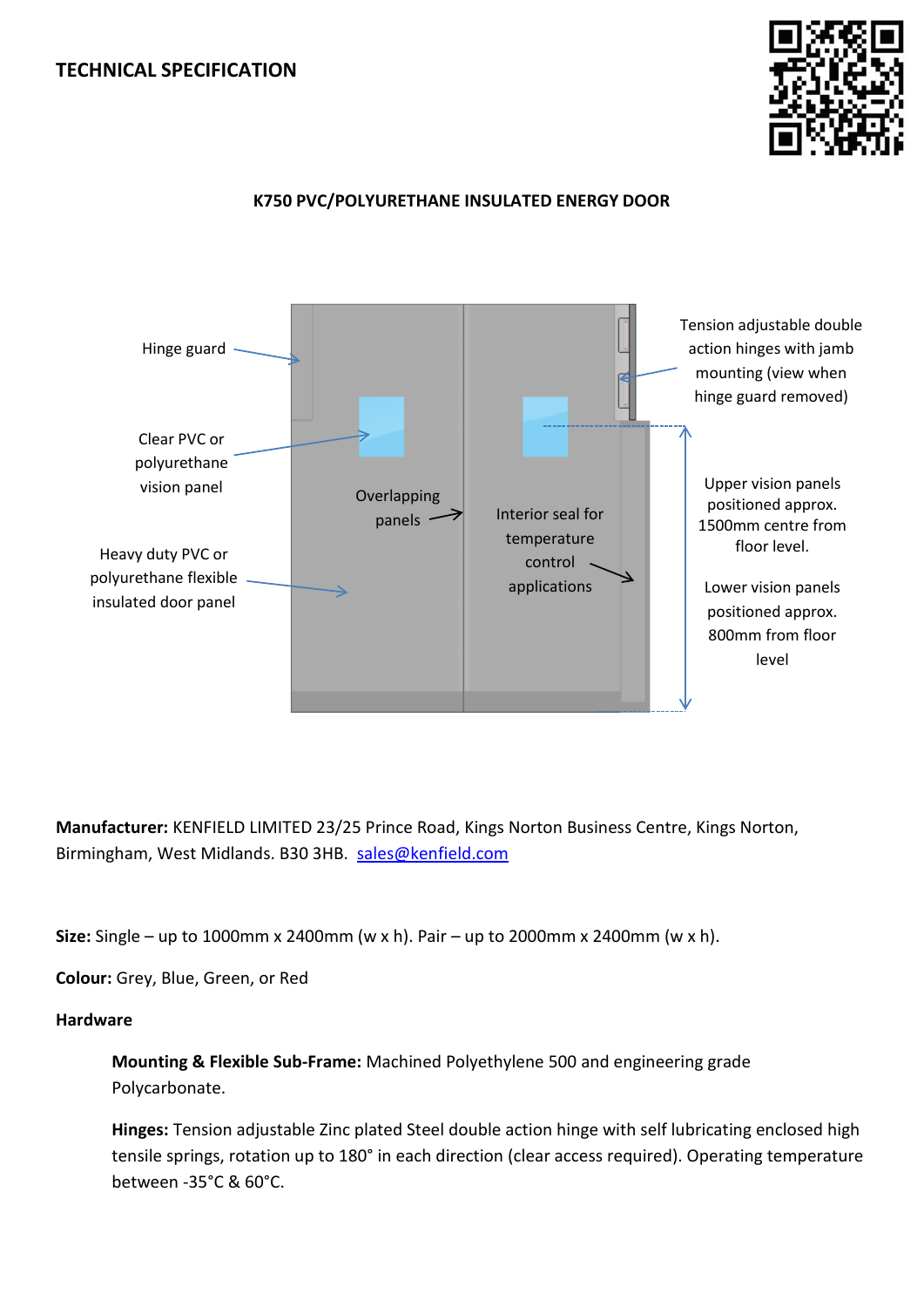# **TECHNICAL SPECIFICATION**



## **K750 PVC/POLYURETHANE INSULATED ENERGY DOOR**



**Manufacturer:** KENFIELD LIMITED 23/25 Prince Road, Kings Norton Business Centre, Kings Norton, Birmingham, West Midlands. B30 3HB. [sales@kenfield.com](mailto:sales@kenfield.com) 

**Size:** Single – up to 1000mm x 2400mm (w x h). Pair – up to 2000mm x 2400mm (w x h).

**Colour:** Grey, Blue, Green, or Red

### **Hardware**

**Mounting & Flexible Sub-Frame:** Machined Polyethylene 500 and engineering grade Polycarbonate.

**Hinges:** Tension adjustable Zinc plated Steel double action hinge with self lubricating enclosed high tensile springs, rotation up to 180° in each direction (clear access required). Operating temperature between -35°C & 60°C.